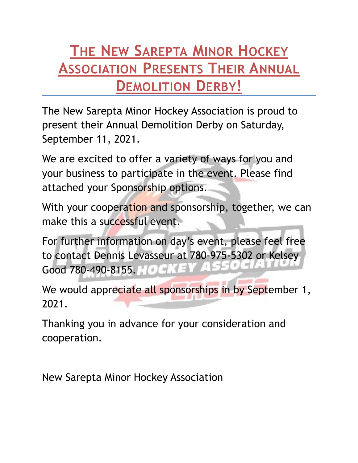#### **THE NEW SAREPTA MINOR HOCKEY ASSOCIATION PRESENTS THEIR ANNUAL DEMOLITION DERBY!**

The New Sarepta Minor Hockey Association is proud to present their Annual Demolition Derby on Saturday, September 11, 2021.

We are excited to offer a variety of ways for you and your business to participate in the event. Please find attached your Sponsorship options.

With your cooperation and sponsorship, together, we can make this a successful event.

For further information on day's event, please feel free to contact Dennis Levasseur at 780-975-5302 or Kelsey Good 780-490-8155. HOGHEY

We would appreciate all sponsorships in by September 1, 2021.

Thanking you in advance for your consideration and cooperation.

New Sarepta Minor Hockey Association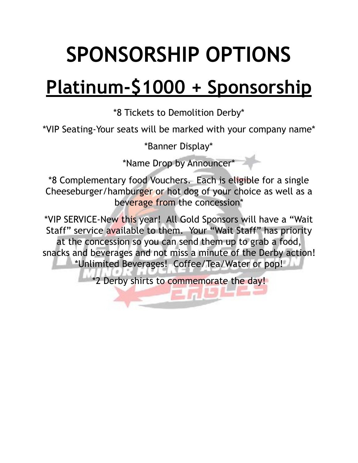## **SPONSORSHIP OPTIONS**

#### **Platinum-\$1000 + Sponsorship**

\*8 Tickets to Demolition Derby\*

\*VIP Seating-Your seats will be marked with your company name\*

\*Banner Display\*

\*Name Drop by Announcer\*

\*8 Complementary food Vouchers. Each is eligible for a single Cheeseburger/hamburger or hot dog of your choice as well as a beverage from the concession\*

\*VIP SERVICE-New this year! All Gold Sponsors will have a "Wait Staff" service available to them. Your "Wait Staff" has priority at the concession so you can send them up to grab a food, snacks and beverages and not miss a minute of the Derby action! \*Unlimited Beverages! Coffee/Tea/Water or pop!

\*2 Derby shirts to commemorate the day!

 $E \cap E$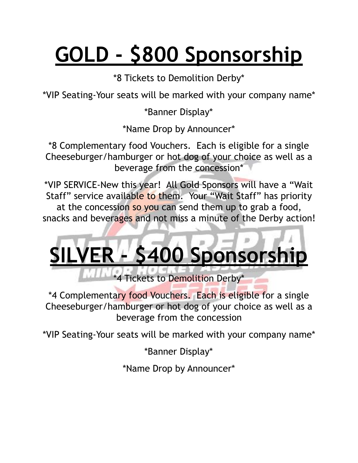# **GOLD - \$800 Sponsorship**

\*8 Tickets to Demolition Derby\*

\*VIP Seating-Your seats will be marked with your company name\*

\*Banner Display\*

\*Name Drop by Announcer\*

\*8 Complementary food Vouchers. Each is eligible for a single Cheeseburger/hamburger or hot dog of your choice as well as a beverage from the concession\*

\*VIP SERVICE-New this year! All Gold Sponsors will have a "Wait Staff" service available to them. Your "Wait Staff" has priority at the concession so you can send them up to grab a food, snacks and beverages and not miss a minute of the Derby action!

# **S400 Sponsorship**

\*4 Tickets to Demolition Derby\*

\*4 Complementary food Vouchers. Each is eligible for a single Cheeseburger/hamburger or hot dog of your choice as well as a beverage from the concession

\*VIP Seating-Your seats will be marked with your company name\*

\*Banner Display\*

\*Name Drop by Announcer\*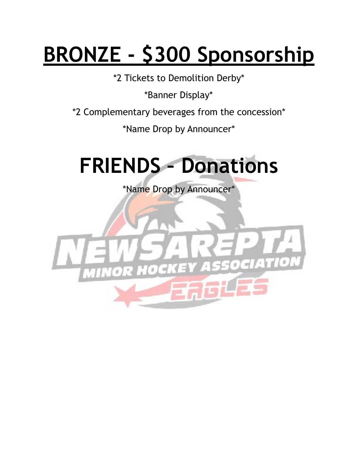## **BRONZE - \$300 Sponsorship**

\*2 Tickets to Demolition Derby\*

\*Banner Display\*

\*2 Complementary beverages from the concession\*

\*Name Drop by Announcer\*



\*Name Drop by Announcer\*